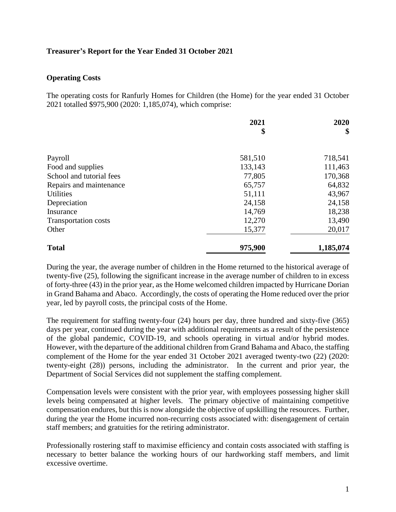### **Treasurer's Report for the Year Ended 31 October 2021**

#### **Operating Costs**

The operating costs for Ranfurly Homes for Children (the Home) for the year ended 31 October 2021 totalled \$975,900 (2020: 1,185,074), which comprise:

|                             | 2021    | 2020      |
|-----------------------------|---------|-----------|
|                             | \$      | \$        |
|                             |         |           |
| Payroll                     | 581,510 | 718,541   |
| Food and supplies           | 133,143 | 111,463   |
| School and tutorial fees    | 77,805  | 170,368   |
| Repairs and maintenance     | 65,757  | 64,832    |
| <b>Utilities</b>            | 51,111  | 43,967    |
| Depreciation                | 24,158  | 24,158    |
| Insurance                   | 14,769  | 18,238    |
| <b>Transportation costs</b> | 12,270  | 13,490    |
| Other                       | 15,377  | 20,017    |
| <b>Total</b>                | 975,900 | 1,185,074 |

During the year, the average number of children in the Home returned to the historical average of twenty-five (25), following the significant increase in the average number of children to in excess of forty-three (43) in the prior year, as the Home welcomed children impacted by Hurricane Dorian in Grand Bahama and Abaco. Accordingly, the costs of operating the Home reduced over the prior year, led by payroll costs, the principal costs of the Home.

The requirement for staffing twenty-four (24) hours per day, three hundred and sixty-five (365) days per year, continued during the year with additional requirements as a result of the persistence of the global pandemic, COVID-19, and schools operating in virtual and/or hybrid modes. However, with the departure of the additional children from Grand Bahama and Abaco, the staffing complement of the Home for the year ended 31 October 2021 averaged twenty-two (22) (2020: twenty-eight (28)) persons, including the administrator. In the current and prior year, the Department of Social Services did not supplement the staffing complement.

Compensation levels were consistent with the prior year, with employees possessing higher skill levels being compensated at higher levels. The primary objective of maintaining competitive compensation endures, but this is now alongside the objective of upskilling the resources. Further, during the year the Home incurred non-recurring costs associated with: disengagement of certain staff members; and gratuities for the retiring administrator.

Professionally rostering staff to maximise efficiency and contain costs associated with staffing is necessary to better balance the working hours of our hardworking staff members, and limit excessive overtime.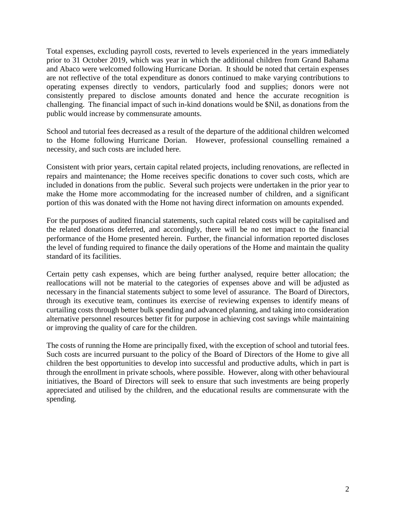Total expenses, excluding payroll costs, reverted to levels experienced in the years immediately prior to 31 October 2019, which was year in which the additional children from Grand Bahama and Abaco were welcomed following Hurricane Dorian. It should be noted that certain expenses are not reflective of the total expenditure as donors continued to make varying contributions to operating expenses directly to vendors, particularly food and supplies; donors were not consistently prepared to disclose amounts donated and hence the accurate recognition is challenging. The financial impact of such in-kind donations would be \$Nil, as donations from the public would increase by commensurate amounts.

School and tutorial fees decreased as a result of the departure of the additional children welcomed to the Home following Hurricane Dorian. However, professional counselling remained a necessity, and such costs are included here.

Consistent with prior years, certain capital related projects, including renovations, are reflected in repairs and maintenance; the Home receives specific donations to cover such costs, which are included in donations from the public. Several such projects were undertaken in the prior year to make the Home more accommodating for the increased number of children, and a significant portion of this was donated with the Home not having direct information on amounts expended.

For the purposes of audited financial statements, such capital related costs will be capitalised and the related donations deferred, and accordingly, there will be no net impact to the financial performance of the Home presented herein. Further, the financial information reported discloses the level of funding required to finance the daily operations of the Home and maintain the quality standard of its facilities.

Certain petty cash expenses, which are being further analysed, require better allocation; the reallocations will not be material to the categories of expenses above and will be adjusted as necessary in the financial statements subject to some level of assurance. The Board of Directors, through its executive team, continues its exercise of reviewing expenses to identify means of curtailing costs through better bulk spending and advanced planning, and taking into consideration alternative personnel resources better fit for purpose in achieving cost savings while maintaining or improving the quality of care for the children.

The costs of running the Home are principally fixed, with the exception of school and tutorial fees. Such costs are incurred pursuant to the policy of the Board of Directors of the Home to give all children the best opportunities to develop into successful and productive adults, which in part is through the enrollment in private schools, where possible. However, along with other behavioural initiatives, the Board of Directors will seek to ensure that such investments are being properly appreciated and utilised by the children, and the educational results are commensurate with the spending.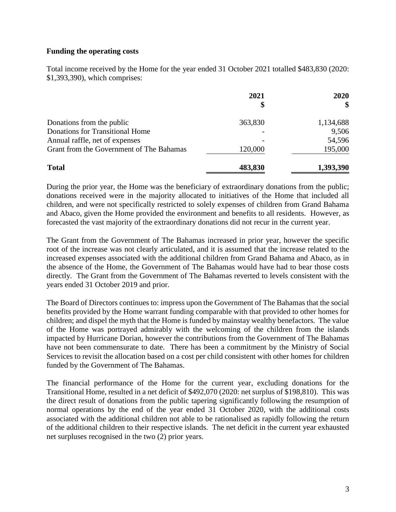#### **Funding the operating costs**

Total income received by the Home for the year ended 31 October 2021 totalled \$483,830 (2020: \$1,393,390), which comprises:

|                                          | 2021    | 2020<br>\$ |
|------------------------------------------|---------|------------|
|                                          |         |            |
| Donations from the public                | 363,830 | 1,134,688  |
| <b>Donations for Transitional Home</b>   |         | 9,506      |
| Annual raffle, net of expenses           |         | 54,596     |
| Grant from the Government of The Bahamas | 120,000 | 195,000    |
| <b>Total</b>                             | 483,830 | 1,393,390  |

During the prior year, the Home was the beneficiary of extraordinary donations from the public; donations received were in the majority allocated to initiatives of the Home that included all children, and were not specifically restricted to solely expenses of children from Grand Bahama and Abaco, given the Home provided the environment and benefits to all residents. However, as forecasted the vast majority of the extraordinary donations did not recur in the current year.

The Grant from the Government of The Bahamas increased in prior year, however the specific root of the increase was not clearly articulated, and it is assumed that the increase related to the increased expenses associated with the additional children from Grand Bahama and Abaco, as in the absence of the Home, the Government of The Bahamas would have had to bear those costs directly. The Grant from the Government of The Bahamas reverted to levels consistent with the years ended 31 October 2019 and prior.

The Board of Directors continues to: impress upon the Government of The Bahamas that the social benefits provided by the Home warrant funding comparable with that provided to other homes for children; and dispel the myth that the Home is funded by mainstay wealthy benefactors. The value of the Home was portrayed admirably with the welcoming of the children from the islands impacted by Hurricane Dorian, however the contributions from the Government of The Bahamas have not been commensurate to date. There has been a commitment by the Ministry of Social Services to revisit the allocation based on a cost per child consistent with other homes for children funded by the Government of The Bahamas.

The financial performance of the Home for the current year, excluding donations for the Transitional Home, resulted in a net deficit of \$492,070 (2020: net surplus of \$198,810). This was the direct result of donations from the public tapering significantly following the resumption of normal operations by the end of the year ended 31 October 2020, with the additional costs associated with the additional children not able to be rationalised as rapidly following the return of the additional children to their respective islands. The net deficit in the current year exhausted net surpluses recognised in the two (2) prior years.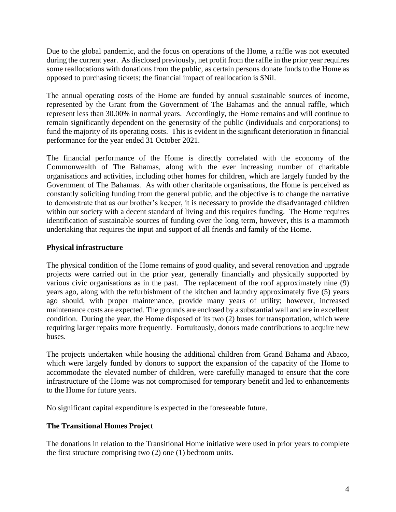Due to the global pandemic, and the focus on operations of the Home, a raffle was not executed during the current year. As disclosed previously, net profit from the raffle in the prior year requires some reallocations with donations from the public, as certain persons donate funds to the Home as opposed to purchasing tickets; the financial impact of reallocation is \$Nil.

The annual operating costs of the Home are funded by annual sustainable sources of income, represented by the Grant from the Government of The Bahamas and the annual raffle, which represent less than 30.00% in normal years. Accordingly, the Home remains and will continue to remain significantly dependent on the generosity of the public (individuals and corporations) to fund the majority of its operating costs. This is evident in the significant deterioration in financial performance for the year ended 31 October 2021.

The financial performance of the Home is directly correlated with the economy of the Commonwealth of The Bahamas, along with the ever increasing number of charitable organisations and activities, including other homes for children, which are largely funded by the Government of The Bahamas. As with other charitable organisations, the Home is perceived as constantly soliciting funding from the general public, and the objective is to change the narrative to demonstrate that as our brother's keeper, it is necessary to provide the disadvantaged children within our society with a decent standard of living and this requires funding. The Home requires identification of sustainable sources of funding over the long term, however, this is a mammoth undertaking that requires the input and support of all friends and family of the Home.

## **Physical infrastructure**

The physical condition of the Home remains of good quality, and several renovation and upgrade projects were carried out in the prior year, generally financially and physically supported by various civic organisations as in the past. The replacement of the roof approximately nine (9) years ago, along with the refurbishment of the kitchen and laundry approximately five (5) years ago should, with proper maintenance, provide many years of utility; however, increased maintenance costs are expected. The grounds are enclosed by a substantial wall and are in excellent condition. During the year, the Home disposed of its two (2) buses for transportation, which were requiring larger repairs more frequently. Fortuitously, donors made contributions to acquire new buses.

The projects undertaken while housing the additional children from Grand Bahama and Abaco, which were largely funded by donors to support the expansion of the capacity of the Home to accommodate the elevated number of children, were carefully managed to ensure that the core infrastructure of the Home was not compromised for temporary benefit and led to enhancements to the Home for future years.

No significant capital expenditure is expected in the foreseeable future.

# **The Transitional Homes Project**

The donations in relation to the Transitional Home initiative were used in prior years to complete the first structure comprising two (2) one (1) bedroom units.